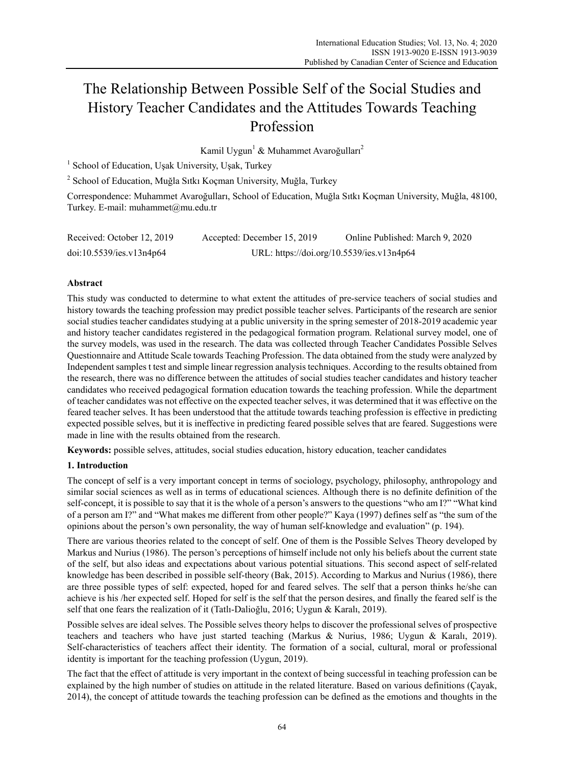# The Relationship Between Possible Self of the Social Studies and History Teacher Candidates and the Attitudes Towards Teaching Profession

Kamil Uygun<sup>1</sup> & Muhammet Avaroğulları<sup>2</sup>

<sup>1</sup> School of Education, Uşak University, Uşak, Turkey

<sup>2</sup> School of Education, Muğla Sıtkı Koçman University, Muğla, Turkey

Correspondence: Muhammet Avaroğulları, School of Education, Muğla Sıtkı Koçman University, Muğla, 48100, Turkey. E-mail: muhammet@mu.edu.tr

| Received: October 12, 2019 | Accepted: December 15, 2019 | Online Published: March 9, 2020           |
|----------------------------|-----------------------------|-------------------------------------------|
| doi:10.5539/ies.v13n4p64   |                             | URL: https://doi.org/10.5539/ies.v13n4p64 |

# **Abstract**

This study was conducted to determine to what extent the attitudes of pre-service teachers of social studies and history towards the teaching profession may predict possible teacher selves. Participants of the research are senior social studies teacher candidates studying at a public university in the spring semester of 2018-2019 academic year and history teacher candidates registered in the pedagogical formation program. Relational survey model, one of the survey models, was used in the research. The data was collected through Teacher Candidates Possible Selves Questionnaire and Attitude Scale towards Teaching Profession. The data obtained from the study were analyzed by Independent samples t test and simple linear regression analysis techniques. According to the results obtained from the research, there was no difference between the attitudes of social studies teacher candidates and history teacher candidates who received pedagogical formation education towards the teaching profession. While the department of teacher candidates was not effective on the expected teacher selves, it was determined that it was effective on the feared teacher selves. It has been understood that the attitude towards teaching profession is effective in predicting expected possible selves, but it is ineffective in predicting feared possible selves that are feared. Suggestions were made in line with the results obtained from the research.

**Keywords:** possible selves, attitudes, social studies education, history education, teacher candidates

# **1. Introduction**

The concept of self is a very important concept in terms of sociology, psychology, philosophy, anthropology and similar social sciences as well as in terms of educational sciences. Although there is no definite definition of the self-concept, it is possible to say that it is the whole of a person's answers to the questions "who am I?" "What kind of a person am I?" and "What makes me different from other people?" Kaya (1997) defines self as "the sum of the opinions about the person's own personality, the way of human self-knowledge and evaluation" (p. 194).

There are various theories related to the concept of self. One of them is the Possible Selves Theory developed by Markus and Nurius (1986). The person's perceptions of himself include not only his beliefs about the current state of the self, but also ideas and expectations about various potential situations. This second aspect of self-related knowledge has been described in possible self-theory (Bak, 2015). According to Markus and Nurius (1986), there are three possible types of self: expected, hoped for and feared selves. The self that a person thinks he/she can achieve is his /her expected self. Hoped for self is the self that the person desires, and finally the feared self is the self that one fears the realization of it (Tatlı-Dalioğlu, 2016; Uygun & Karalı, 2019).

Possible selves are ideal selves. The Possible selves theory helps to discover the professional selves of prospective teachers and teachers who have just started teaching (Markus & Nurius, 1986; Uygun & Karalı, 2019). Self-characteristics of teachers affect their identity. The formation of a social, cultural, moral or professional identity is important for the teaching profession (Uygun, 2019).

The fact that the effect of attitude is very important in the context of being successful in teaching profession can be explained by the high number of studies on attitude in the related literature. Based on various definitions (Çayak, 2014), the concept of attitude towards the teaching profession can be defined as the emotions and thoughts in the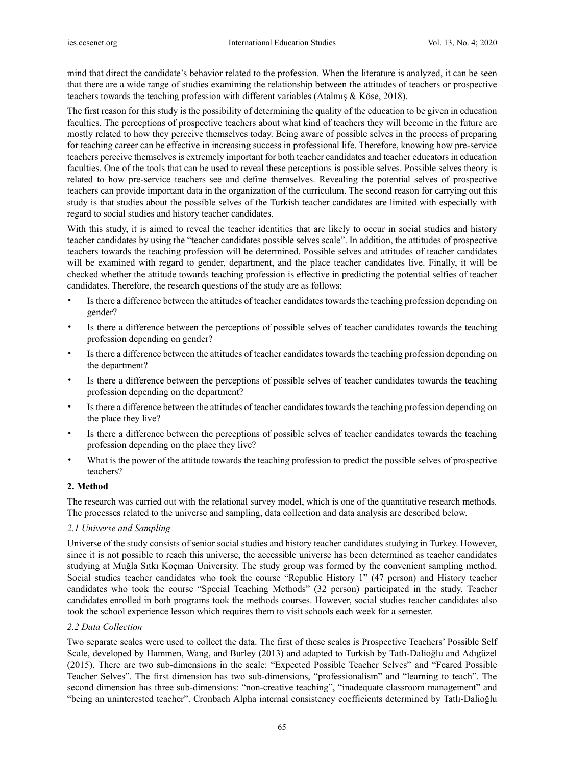mind that direct the candidate's behavior related to the profession. When the literature is analyzed, it can be seen that there are a wide range of studies examining the relationship between the attitudes of teachers or prospective teachers towards the teaching profession with different variables (Atalmış & Köse, 2018).

The first reason for this study is the possibility of determining the quality of the education to be given in education faculties. The perceptions of prospective teachers about what kind of teachers they will become in the future are mostly related to how they perceive themselves today. Being aware of possible selves in the process of preparing for teaching career can be effective in increasing success in professional life. Therefore, knowing how pre-service teachers perceive themselves is extremely important for both teacher candidates and teacher educators in education faculties. One of the tools that can be used to reveal these perceptions is possible selves. Possible selves theory is related to how pre-service teachers see and define themselves. Revealing the potential selves of prospective teachers can provide important data in the organization of the curriculum. The second reason for carrying out this study is that studies about the possible selves of the Turkish teacher candidates are limited with especially with regard to social studies and history teacher candidates.

With this study, it is aimed to reveal the teacher identities that are likely to occur in social studies and history teacher candidates by using the "teacher candidates possible selves scale". In addition, the attitudes of prospective teachers towards the teaching profession will be determined. Possible selves and attitudes of teacher candidates will be examined with regard to gender, department, and the place teacher candidates live. Finally, it will be checked whether the attitude towards teaching profession is effective in predicting the potential selfies of teacher candidates. Therefore, the research questions of the study are as follows:

- Is there a difference between the attitudes of teacher candidates towards the teaching profession depending on gender?
- Is there a difference between the perceptions of possible selves of teacher candidates towards the teaching profession depending on gender?
- Is there a difference between the attitudes of teacher candidates towards the teaching profession depending on the department?
- Is there a difference between the perceptions of possible selves of teacher candidates towards the teaching profession depending on the department?
- Is there a difference between the attitudes of teacher candidates towards the teaching profession depending on the place they live?
- Is there a difference between the perceptions of possible selves of teacher candidates towards the teaching profession depending on the place they live?
- What is the power of the attitude towards the teaching profession to predict the possible selves of prospective teachers?

# **2. Method**

The research was carried out with the relational survey model, which is one of the quantitative research methods. The processes related to the universe and sampling, data collection and data analysis are described below.

# *2.1 Universe and Sampling*

Universe of the study consists of senior social studies and history teacher candidates studying in Turkey. However, since it is not possible to reach this universe, the accessible universe has been determined as teacher candidates studying at Muğla Sıtkı Koçman University. The study group was formed by the convenient sampling method. Social studies teacher candidates who took the course "Republic History 1" (47 person) and History teacher candidates who took the course "Special Teaching Methods" (32 person) participated in the study. Teacher candidates enrolled in both programs took the methods courses. However, social studies teacher candidates also took the school experience lesson which requires them to visit schools each week for a semester.

# *2.2 Data Collection*

Two separate scales were used to collect the data. The first of these scales is Prospective Teachers' Possible Self Scale, developed by Hammen, Wang, and Burley (2013) and adapted to Turkish by Tatlı-Dalioğlu and Adıgüzel (2015). There are two sub-dimensions in the scale: "Expected Possible Teacher Selves" and "Feared Possible Teacher Selves". The first dimension has two sub-dimensions, "professionalism" and "learning to teach". The second dimension has three sub-dimensions: "non-creative teaching", "inadequate classroom management" and "being an uninterested teacher". Cronbach Alpha internal consistency coefficients determined by Tatlı-Dalioğlu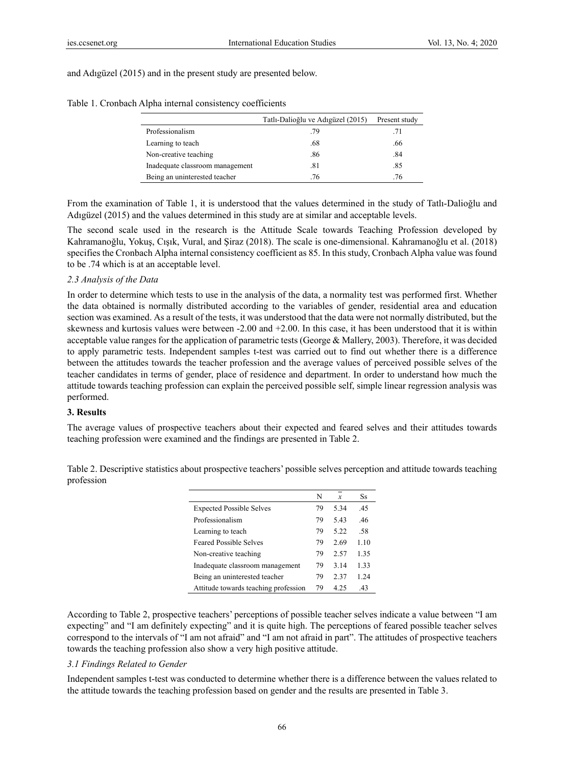and Adıgüzel (2015) and in the present study are presented below.

|                                 | Tatlı-Dalioğlu ve Adıgüzel (2015) | Present study |
|---------------------------------|-----------------------------------|---------------|
| Professionalism                 | .79                               | .71           |
| Learning to teach               | .68                               | .66           |
| Non-creative teaching           | .86                               | .84           |
| Inadequate classroom management | .81                               | .85           |
| Being an uninterested teacher   | .76                               | .76           |

Table 1. Cronbach Alpha internal consistency coefficients

From the examination of Table 1, it is understood that the values determined in the study of Tatlı-Dalioğlu and Adıgüzel (2015) and the values determined in this study are at similar and acceptable levels.

The second scale used in the research is the Attitude Scale towards Teaching Profession developed by Kahramanoğlu, Yokuş, Cışık, Vural, and Şiraz (2018). The scale is one-dimensional. Kahramanoğlu et al. (2018) specifies the Cronbach Alpha internal consistency coefficient as 85. In this study, Cronbach Alpha value was found to be .74 which is at an acceptable level.

## *2.3 Analysis of the Data*

In order to determine which tests to use in the analysis of the data, a normality test was performed first. Whether the data obtained is normally distributed according to the variables of gender, residential area and education section was examined. As a result of the tests, it was understood that the data were not normally distributed, but the skewness and kurtosis values were between -2.00 and +2.00. In this case, it has been understood that it is within acceptable value ranges for the application of parametric tests (George & Mallery, 2003). Therefore, it was decided to apply parametric tests. Independent samples t-test was carried out to find out whether there is a difference between the attitudes towards the teacher profession and the average values of perceived possible selves of the teacher candidates in terms of gender, place of residence and department. In order to understand how much the attitude towards teaching profession can explain the perceived possible self, simple linear regression analysis was performed.

### **3. Results**

The average values of prospective teachers about their expected and feared selves and their attitudes towards teaching profession were examined and the findings are presented in Table 2.

|                                      | N  | $\boldsymbol{x}$ | <b>Ss</b> |
|--------------------------------------|----|------------------|-----------|
| <b>Expected Possible Selves</b>      | 79 | 5.34             | .45       |
| Professionalism                      | 79 | 543              | .46       |
| Learning to teach                    | 79 | 5.22             | .58       |
| <b>Feared Possible Selves</b>        | 79 | 2.69             | 1.10      |
| Non-creative teaching                | 79 | 2.57             | 1.35      |
| Inadequate classroom management      | 79 | 3.14             | 1.33      |
| Being an uninterested teacher        | 79 | 2.37             | 1.24      |
| Attitude towards teaching profession | 79 | 4 25             | .43       |

Table 2. Descriptive statistics about prospective teachers' possible selves perception and attitude towards teaching profession

According to Table 2, prospective teachers' perceptions of possible teacher selves indicate a value between "I am expecting" and "I am definitely expecting" and it is quite high. The perceptions of feared possible teacher selves correspond to the intervals of "I am not afraid" and "I am not afraid in part". The attitudes of prospective teachers towards the teaching profession also show a very high positive attitude.

## *3.1 Findings Related to Gender*

Independent samples t-test was conducted to determine whether there is a difference between the values related to the attitude towards the teaching profession based on gender and the results are presented in Table 3.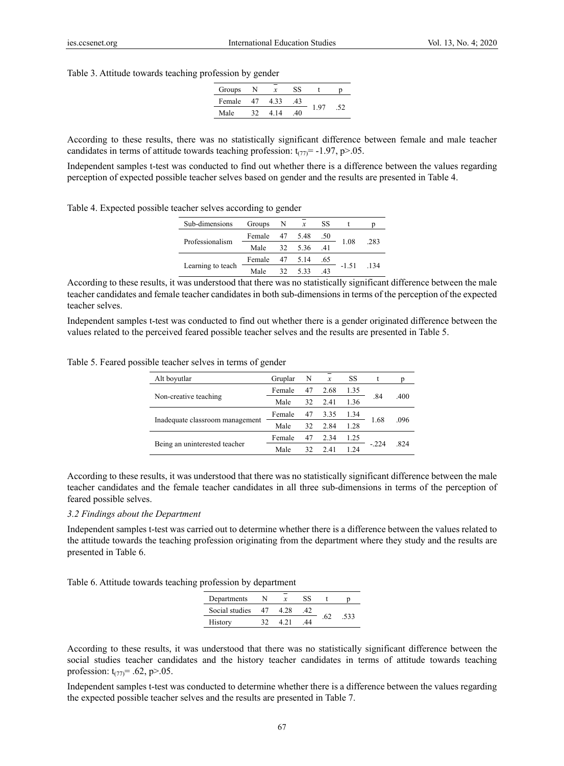#### Table 3. Attitude towards teaching profession by gender

| Groups | N  |      | SS |  |  |
|--------|----|------|----|--|--|
| Female | 47 | 4.33 | 43 |  |  |
| Male   |    | 14   | 40 |  |  |

According to these results, there was no statistically significant difference between female and male teacher candidates in terms of attitude towards teaching profession:  $t_{(77)} = -1.97$ , p $> 0.05$ .

Independent samples t-test was conducted to find out whether there is a difference between the values regarding perception of expected possible teacher selves based on gender and the results are presented in Table 4.

|  |  | Table 4. Expected possible teacher selves according to gender |  |
|--|--|---------------------------------------------------------------|--|
|  |  |                                                               |  |

| Sub-dimensions    | Groups         | $\mathbf N$ | $\boldsymbol{x}$ | SS  |         |      |
|-------------------|----------------|-------------|------------------|-----|---------|------|
|                   | Female 47 5.48 |             |                  | .50 |         |      |
| Professionalism   | Male 32 5.36   |             |                  | .41 | 1.08    | .283 |
|                   | Female         |             | 47 5.14          | .65 |         |      |
| Learning to teach | Male           | 32          | 533              | 43  | $-1.51$ | 134  |

According to these results, it was understood that there was no statistically significant difference between the male teacher candidates and female teacher candidates in both sub-dimensions in terms of the perception of the expected teacher selves.

Independent samples t-test was conducted to find out whether there is a gender originated difference between the values related to the perceived feared possible teacher selves and the results are presented in Table 5.

Table 5. Feared possible teacher selves in terms of gender

| Alt boyutlar                    | Gruplar | N  | $\mathcal{X}$ | SS   |        |      |
|---------------------------------|---------|----|---------------|------|--------|------|
|                                 | Female  | 47 | 2.68          | 1.35 |        |      |
| Non-creative teaching           | Male    | 32 | 2.41          | 1.36 | .84    | .400 |
|                                 | Female  | 47 | 3.35          | 1.34 |        | .096 |
| Inadequate classroom management | Male    | 32 | 2.84          | 1.28 | 1.68   |      |
|                                 | Female  | 47 | 2.34          | 1.25 |        |      |
| Being an uninterested teacher   | Male    | 32 | 2.41          | 1 24 | $-224$ | 824  |
|                                 |         |    |               |      |        |      |

According to these results, it was understood that there was no statistically significant difference between the male teacher candidates and the female teacher candidates in all three sub-dimensions in terms of the perception of feared possible selves.

# *3.2 Findings about the Department*

Independent samples t-test was carried out to determine whether there is a difference between the values related to the attitude towards the teaching profession originating from the department where they study and the results are presented in Table 6.

Table 6. Attitude towards teaching profession by department

| Departments    |    |    |     |
|----------------|----|----|-----|
| Social studies | 47 |    |     |
| History        |    | 44 | 533 |

According to these results, it was understood that there was no statistically significant difference between the social studies teacher candidates and the history teacher candidates in terms of attitude towards teaching profession:  $t_{(77)} = .62$ , p>.05.

Independent samples t-test was conducted to determine whether there is a difference between the values regarding the expected possible teacher selves and the results are presented in Table 7.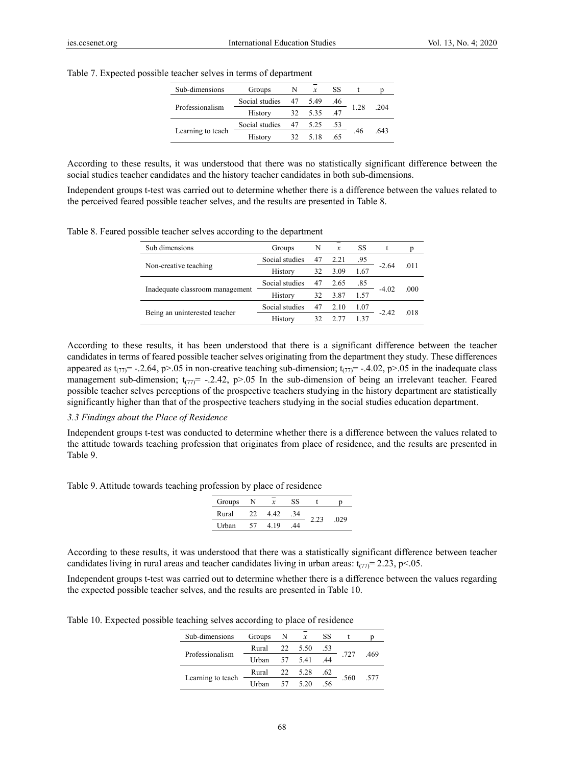| Sub-dimensions    | Groups         | N              |         | SS  |     |     |
|-------------------|----------------|----------------|---------|-----|-----|-----|
|                   | Social studies |                | 47 5.49 | .46 |     |     |
| Professionalism   | History        | 32 5.35<br>.47 | 1 2.8   | 204 |     |     |
|                   | Social studies | 47             | 5.25    | .53 |     |     |
| Learning to teach | History        | 32             | 5 1 8   | .65 | .46 | 643 |

Table 7. Expected possible teacher selves in terms of department

According to these results, it was understood that there was no statistically significant difference between the social studies teacher candidates and the history teacher candidates in both sub-dimensions.

Independent groups t-test was carried out to determine whether there is a difference between the values related to the perceived feared possible teacher selves, and the results are presented in Table 8.

Table 8. Feared possible teacher selves according to the department

| Sub dimensions                  | Groups         | N  | $\mathcal{X}$ | SS   |         |      |
|---------------------------------|----------------|----|---------------|------|---------|------|
|                                 | Social studies | 47 | 2.21          | .95  |         |      |
| Non-creative teaching           | History        | 32 | 3.09          | 1.67 | $-2.64$ | 011  |
|                                 | Social studies | 47 | 2.65          | .85  |         |      |
| Inadequate classroom management | History        | 32 | 3.87          | 1.57 | $-4.02$ | .000 |
|                                 | Social studies | 47 | 2.10          | 1.07 |         |      |
| Being an uninterested teacher   | History        | 32 | 2 77          | 1.37 | $-2.42$ | .018 |
|                                 |                |    |               |      |         |      |

According to these results, it has been understood that there is a significant difference between the teacher candidates in terms of feared possible teacher selves originating from the department they study. These differences appeared as  $t_{(77)} = -2.64$ , p>.05 in non-creative teaching sub-dimension;  $t_{(77)} = -4.02$ , p>.05 in the inadequate class management sub-dimension;  $t_{(77)}$ = -.2.42, p>.05 In the sub-dimension of being an irrelevant teacher. Feared possible teacher selves perceptions of the prospective teachers studying in the history department are statistically significantly higher than that of the prospective teachers studying in the social studies education department.

### *3.3 Findings about the Place of Residence*

Independent groups t-test was conducted to determine whether there is a difference between the values related to the attitude towards teaching profession that originates from place of residence, and the results are presented in Table 9.

Table 9. Attitude towards teaching profession by place of residence

| Groups |    | $\boldsymbol{x}$ | 88 |     |  |
|--------|----|------------------|----|-----|--|
| Rural  | 22 | 4.42             | 34 |     |  |
| Urban  | 57 | 419              | 44 | 029 |  |

According to these results, it was understood that there was a statistically significant difference between teacher candidates living in rural areas and teacher candidates living in urban areas:  $t_{(77)} = 2.23$ , p<.05.

Independent groups t-test was carried out to determine whether there is a difference between the values regarding the expected possible teacher selves, and the results are presented in Table 10.

Table 10. Expected possible teaching selves according to place of residence

| Sub-dimensions    | Groups | -N | $\mathcal{X}$ | SS  |      |      |
|-------------------|--------|----|---------------|-----|------|------|
|                   | Rural  |    | 22 5.50       | .53 |      |      |
| Professionalism   | Urban  |    | 57 5.41       | .44 | .727 | .469 |
|                   | Rural  |    | 22 5.28       | .62 |      |      |
| Learning to teach | Urban  |    | 57 5 20       | .56 | .560 | -577 |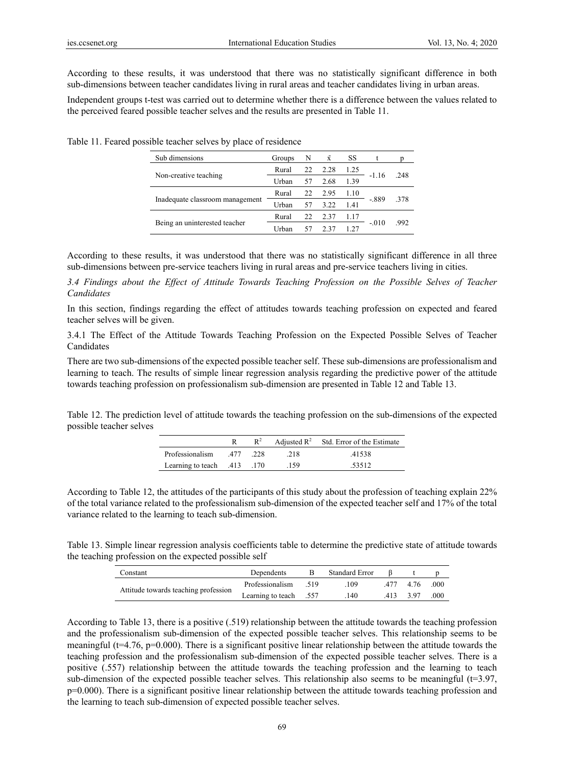According to these results, it was understood that there was no statistically significant difference in both sub-dimensions between teacher candidates living in rural areas and teacher candidates living in urban areas.

Independent groups t-test was carried out to determine whether there is a difference between the values related to the perceived feared possible teacher selves and the results are presented in Table 11.

| Groups  | N  | $\bar{x}$ | SS   |  |                               |
|---------|----|-----------|------|--|-------------------------------|
| Rural   | 22 | 2.28      | 1.25 |  | 248                           |
| Urban   | 57 | 2.68      | 1.39 |  |                               |
| Rural   | 22 | 2.95      | 1.10 |  | 378                           |
| Urban   | 57 | 3.22      | 1.41 |  |                               |
| Rural   | 22 | 2.37      |      |  | 992                           |
| I Irhan | 57 | 237       | 1 27 |  |                               |
|         |    |           |      |  | $-1.16$<br>$-.889$<br>$-.010$ |

Table 11. Feared possible teacher selves by place of residence

According to these results, it was understood that there was no statistically significant difference in all three sub-dimensions between pre-service teachers living in rural areas and pre-service teachers living in cities.

*3.4 Findings about the Effect of Attitude Towards Teaching Profession on the Possible Selves of Teacher Candidates* 

In this section, findings regarding the effect of attitudes towards teaching profession on expected and feared teacher selves will be given.

3.4.1 The Effect of the Attitude Towards Teaching Profession on the Expected Possible Selves of Teacher Candidates

There are two sub-dimensions of the expected possible teacher self. These sub-dimensions are professionalism and learning to teach. The results of simple linear regression analysis regarding the predictive power of the attitude towards teaching profession on professionalism sub-dimension are presented in Table 12 and Table 13.

Table 12. The prediction level of attitude towards the teaching profession on the sub-dimensions of the expected possible teacher selves

|                             | $R^2$ |      | Adjusted $R^2$ Std. Error of the Estimate |
|-----------------------------|-------|------|-------------------------------------------|
| 228. Professionalism .477   |       | .218 | 41538                                     |
| 170. Learning to teach 413. |       | .159 | .53512                                    |

According to Table 12, the attitudes of the participants of this study about the profession of teaching explain 22% of the total variance related to the professionalism sub-dimension of the expected teacher self and 17% of the total variance related to the learning to teach sub-dimension.

Table 13. Simple linear regression analysis coefficients table to determine the predictive state of attitude towards the teaching profession on the expected possible self

| Constant                             | Dependents             |       | Standard Error |      |      |      |
|--------------------------------------|------------------------|-------|----------------|------|------|------|
| Attitude towards teaching profession | Professionalism        | - 519 | 109            | 477  | 4.76 | .000 |
|                                      | Learning to teach .557 |       | .140           | .413 | 397  | .000 |

According to Table 13, there is a positive (.519) relationship between the attitude towards the teaching profession and the professionalism sub-dimension of the expected possible teacher selves. This relationship seems to be meaningful ( $t=4.76$ ,  $p=0.000$ ). There is a significant positive linear relationship between the attitude towards the teaching profession and the professionalism sub-dimension of the expected possible teacher selves. There is a positive (.557) relationship between the attitude towards the teaching profession and the learning to teach sub-dimension of the expected possible teacher selves. This relationship also seems to be meaningful  $(t=3.97, t=0.005)$ p=0.000). There is a significant positive linear relationship between the attitude towards teaching profession and the learning to teach sub-dimension of expected possible teacher selves.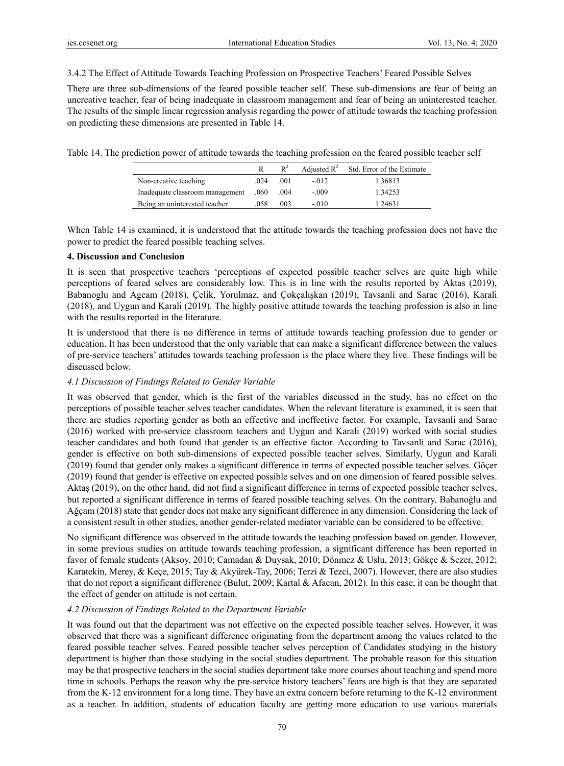3.4.2 The Effect of Attitude Towards Teaching Profession on Prospective Teachers' Feared Possible Selves

There are three sub-dimensions of the feared possible teacher self. These sub-dimensions are fear of being an uncreative teacher, fear of being inadequate in classroom management and fear of being an uninterested teacher. The results of the simple linear regression analysis regarding the power of attitude towards the teaching profession on predicting these dimensions are presented in Table 14.

Table 14. The prediction power of attitude towards the teaching profession on the feared possible teacher self

|                                 |      | $R^2$ |         | Adjusted $R^2$ Std. Error of the Estimate |
|---------------------------------|------|-------|---------|-------------------------------------------|
| Non-creative teaching           | .024 | .001  | $-012$  | 1.36813                                   |
| Inadequate classroom management | .060 | .004  | $-.009$ | 1.34253                                   |
| Being an uninterested teacher   | .058 | .003  | $-010$  | 1.24631                                   |

When Table 14 is examined, it is understood that the attitude towards the teaching profession does not have the power to predict the feared possible teaching selves.

# **4. Discussion and Conclusion**

It is seen that prospective teachers 'perceptions of expected possible teacher selves are quite high while perceptions of feared selves are considerably low. This is in line with the results reported by Aktas (2019), Babanoglu and Agcam (2018), Çelik, Yorulmaz, and Çokçalışkan (2019), Tavsanli and Sarac (2016), Karali (2018), and Uygun and Karali (2019). The highly positive attitude towards the teaching profession is also in line with the results reported in the literature.

It is understood that there is no difference in terms of attitude towards teaching profession due to gender or education. It has been understood that the only variable that can make a significant difference between the values of pre-service teachers' attitudes towards teaching profession is the place where they live. These findings will be discussed below.

# *4.1 Discussion of Findings Related to Gender Variable*

It was observed that gender, which is the first of the variables discussed in the study, has no effect on the perceptions of possible teacher selves teacher candidates. When the relevant literature is examined, it is seen that there are studies reporting gender as both an effective and ineffective factor. For example, Tavsanli and Sarac (2016) worked with pre-service classroom teachers and Uygun and Karali (2019) worked with social studies teacher candidates and both found that gender is an effective factor. According to Tavsanli and Sarac (2016), gender is effective on both sub-dimensions of expected possible teacher selves. Similarly, Uygun and Karali (2019) found that gender only makes a significant difference in terms of expected possible teacher selves. Göçer (2019) found that gender is effective on expected possible selves and on one dimension of feared possible selves. Aktaş (2019), on the other hand, did not find a significant difference in terms of expected possible teacher selves, but reported a significant difference in terms of feared possible teaching selves. On the contrary, Babanoğlu and Ağçam (2018) state that gender does not make any significant difference in any dimension. Considering the lack of a consistent result in other studies, another gender-related mediator variable can be considered to be effective.

No significant difference was observed in the attitude towards the teaching profession based on gender. However, in some previous studies on attitude towards teaching profession, a significant difference has been reported in favor of female students (Aksoy, 2010; Camadan & Duysak, 2010; Dönmez & Uslu, 2013; Gökçe & Sezer, 2012; Karatekin, Merey, & Keçe, 2015; Tay & Akyürek-Tay, 2006; Terzi & Tezci, 2007). However, there are also studies that do not report a significant difference (Bulut, 2009; Kartal & Afacan, 2012). In this case, it can be thought that the effect of gender on attitude is not certain.

# *4.2 Discussion of Findings Related to the Department Variable*

It was found out that the department was not effective on the expected possible teacher selves. However, it was observed that there was a significant difference originating from the department among the values related to the feared possible teacher selves. Feared possible teacher selves perception of Candidates studying in the history department is higher than those studying in the social studies department. The probable reason for this situation may be that prospective teachers in the social studies department take more courses about teaching and spend more time in schools. Perhaps the reason why the pre-service history teachers' fears are high is that they are separated from the K-12 environment for a long time. They have an extra concern before returning to the K-12 environment as a teacher. In addition, students of education faculty are getting more education to use various materials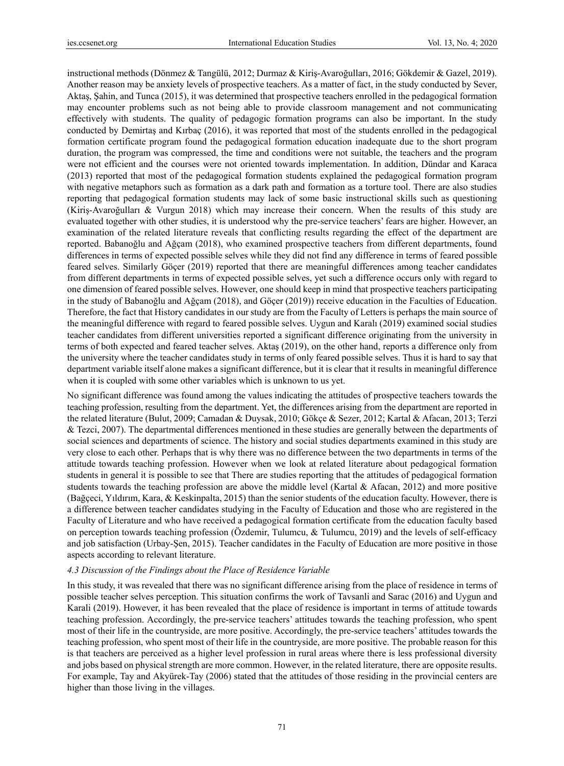instructional methods (Dönmez & Tangülü, 2012; Durmaz & Kiriş-Avaroğulları, 2016; Gökdemir & Gazel, 2019). Another reason may be anxiety levels of prospective teachers. As a matter of fact, in the study conducted by Sever, Aktaş, Şahin, and Tunca (2015), it was determined that prospective teachers enrolled in the pedagogical formation may encounter problems such as not being able to provide classroom management and not communicating effectively with students. The quality of pedagogic formation programs can also be important. In the study conducted by Demirtaş and Kırbaç (2016), it was reported that most of the students enrolled in the pedagogical formation certificate program found the pedagogical formation education inadequate due to the short program duration, the program was compressed, the time and conditions were not suitable, the teachers and the program were not efficient and the courses were not oriented towards implementation. In addition, Dündar and Karaca (2013) reported that most of the pedagogical formation students explained the pedagogical formation program with negative metaphors such as formation as a dark path and formation as a torture tool. There are also studies reporting that pedagogical formation students may lack of some basic instructional skills such as questioning (Kiriş-Avaroğulları & Vurgun 2018) which may increase their concern. When the results of this study are evaluated together with other studies, it is understood why the pre-service teachers' fears are higher. However, an examination of the related literature reveals that conflicting results regarding the effect of the department are reported. Babanoğlu and Ağçam (2018), who examined prospective teachers from different departments, found differences in terms of expected possible selves while they did not find any difference in terms of feared possible feared selves. Similarly Göçer (2019) reported that there are meaningful differences among teacher candidates from different departments in terms of expected possible selves, yet such a difference occurs only with regard to one dimension of feared possible selves. However, one should keep in mind that prospective teachers participating in the study of Babanoğlu and Ağçam (2018), and Göçer (2019)) receive education in the Faculties of Education. Therefore, the fact that History candidates in our study are from the Faculty of Letters is perhaps the main source of the meaningful difference with regard to feared possible selves. Uygun and Karalı (2019) examined social studies teacher candidates from different universities reported a significant difference originating from the university in terms of both expected and feared teacher selves. Aktaş (2019), on the other hand, reports a difference only from the university where the teacher candidates study in terms of only feared possible selves. Thus it is hard to say that department variable itself alone makes a significant difference, but it is clear that it results in meaningful difference when it is coupled with some other variables which is unknown to us yet.

No significant difference was found among the values indicating the attitudes of prospective teachers towards the teaching profession, resulting from the department. Yet, the differences arising from the department are reported in the related literature (Bulut, 2009; Camadan & Duysak, 2010; Gökçe & Sezer, 2012; Kartal & Afacan, 2013; Terzi & Tezci, 2007). The departmental differences mentioned in these studies are generally between the departments of social sciences and departments of science. The history and social studies departments examined in this study are very close to each other. Perhaps that is why there was no difference between the two departments in terms of the attitude towards teaching profession. However when we look at related literature about pedagogical formation students in general it is possible to see that There are studies reporting that the attitudes of pedagogical formation students towards the teaching profession are above the middle level (Kartal & Afacan, 2012) and more positive (Bağçeci, Yıldırım, Kara, & Keskinpalta, 2015) than the senior students of the education faculty. However, there is a difference between teacher candidates studying in the Faculty of Education and those who are registered in the Faculty of Literature and who have received a pedagogical formation certificate from the education faculty based on perception towards teaching profession (Özdemir, Tulumcu, & Tulumcu, 2019) and the levels of self-efficacy and job satisfaction (Urbay-Şen, 2015). Teacher candidates in the Faculty of Education are more positive in those aspects according to relevant literature.

# *4.3 Discussion of the Findings about the Place of Residence Variable*

In this study, it was revealed that there was no significant difference arising from the place of residence in terms of possible teacher selves perception. This situation confirms the work of Tavsanli and Sarac (2016) and Uygun and Karali (2019). However, it has been revealed that the place of residence is important in terms of attitude towards teaching profession. Accordingly, the pre-service teachers' attitudes towards the teaching profession, who spent most of their life in the countryside, are more positive. Accordingly, the pre-service teachers' attitudes towards the teaching profession, who spent most of their life in the countryside, are more positive. The probable reason for this is that teachers are perceived as a higher level profession in rural areas where there is less professional diversity and jobs based on physical strength are more common. However, in the related literature, there are opposite results. For example, Tay and Akyürek-Tay (2006) stated that the attitudes of those residing in the provincial centers are higher than those living in the villages.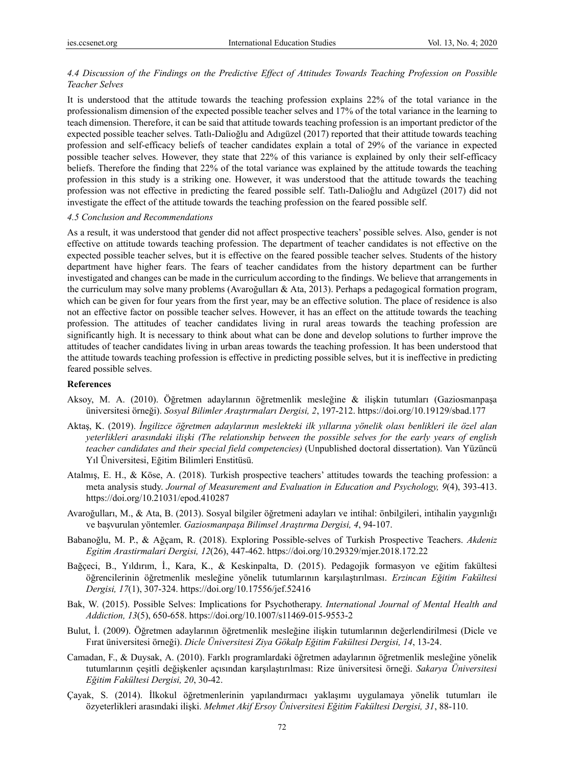# *4.4 Discussion of the Findings on the Predictive Effect of Attitudes Towards Teaching Profession on Possible Teacher Selves*

It is understood that the attitude towards the teaching profession explains 22% of the total variance in the professionalism dimension of the expected possible teacher selves and 17% of the total variance in the learning to teach dimension. Therefore, it can be said that attitude towards teaching profession is an important predictor of the expected possible teacher selves. Tatlı-Dalioğlu and Adıgüzel (2017) reported that their attitude towards teaching profession and self-efficacy beliefs of teacher candidates explain a total of 29% of the variance in expected possible teacher selves. However, they state that 22% of this variance is explained by only their self-efficacy beliefs. Therefore the finding that 22% of the total variance was explained by the attitude towards the teaching profession in this study is a striking one. However, it was understood that the attitude towards the teaching profession was not effective in predicting the feared possible self. Tatlı-Dalioğlu and Adıgüzel (2017) did not investigate the effect of the attitude towards the teaching profession on the feared possible self.

### *4.5 Conclusion and Recommendations*

As a result, it was understood that gender did not affect prospective teachers' possible selves. Also, gender is not effective on attitude towards teaching profession. The department of teacher candidates is not effective on the expected possible teacher selves, but it is effective on the feared possible teacher selves. Students of the history department have higher fears. The fears of teacher candidates from the history department can be further investigated and changes can be made in the curriculum according to the findings. We believe that arrangements in the curriculum may solve many problems (Avaroğulları & Ata, 2013). Perhaps a pedagogical formation program, which can be given for four years from the first year, may be an effective solution. The place of residence is also not an effective factor on possible teacher selves. However, it has an effect on the attitude towards the teaching profession. The attitudes of teacher candidates living in rural areas towards the teaching profession are significantly high. It is necessary to think about what can be done and develop solutions to further improve the attitudes of teacher candidates living in urban areas towards the teaching profession. It has been understood that the attitude towards teaching profession is effective in predicting possible selves, but it is ineffective in predicting feared possible selves.

# **References**

- Aksoy, M. A. (2010). Öğretmen adaylarının öğretmenlik mesleğine & ilişkin tutumları (Gaziosmanpaşa üniversitesi örneği). *Sosyal Bilimler Araştırmaları Dergisi, 2*, 197-212. https://doi.org/10.19129/sbad.177
- Aktaş, K. (2019). *İngilizce öğretmen adaylarının meslekteki ilk yıllarına yönelik olası benlikleri ile özel alan yeterlikleri arasındaki ilişki (The relationship between the possible selves for the early years of english teacher candidates and their special field competencies)* (Unpublished doctoral dissertation). Van Yüzüncü Yıl Üniversitesi, Eğitim Bilimleri Enstitüsü.
- Atalmış, E. H., & Köse, A. (2018). Turkish prospective teachers' attitudes towards the teaching profession: a meta analysis study. *Journal of Measurement and Evaluation in Education and Psychology, 9*(4), 393-413. https://doi.org/10.21031/epod.410287
- Avaroğulları, M., & Ata, B. (2013). Sosyal bilgiler öğretmeni adayları ve intihal: önbilgileri, intihalin yaygınlığı ve başvurulan yöntemler. *Gaziosmanpaşa Bilimsel Araştırma Dergisi, 4*, 94-107.
- Babanoğlu, M. P., & Ağçam, R. (2018). Exploring Possible-selves of Turkish Prospective Teachers. *Akdeniz Egitim Arastirmalari Dergisi, 12*(26), 447-462. https://doi.org/10.29329/mjer.2018.172.22
- Bağçeci, B., Yıldırım, İ., Kara, K., & Keskinpalta, D. (2015). Pedagojik formasyon ve eğitim fakültesi öğrencilerinin öğretmenlik mesleğine yönelik tutumlarının karşılaştırılması. *Erzincan Eğitim Fakültesi Dergisi, 17*(1), 307-324. https://doi.org/10.17556/jef.52416
- Bak, W. (2015). Possible Selves: Implications for Psychotherapy. *International Journal of Mental Health and Addiction, 13*(5), 650-658. https://doi.org/10.1007/s11469-015-9553-2
- Bulut, İ. (2009). Öğretmen adaylarının öğretmenlik mesleğine ilişkin tutumlarının değerlendirilmesi (Dicle ve Fırat üniversitesi örneği). *Dicle Üniversitesi Ziya Gökalp Eğitim Fakültesi Dergisi, 14*, 13-24.
- Camadan, F., & Duysak, A. (2010). Farklı programlardaki öğretmen adaylarının öğretmenlik mesleğine yönelik tutumlarının çeşitli değişkenler açısından karşılaştırılması: Rize üniversitesi örneği. *Sakarya Üniversitesi Eğitim Fakültesi Dergisi, 20*, 30-42.
- Çayak, S. (2014). İlkokul öğretmenlerinin yapılandırmacı yaklaşımı uygulamaya yönelik tutumları ile özyeterlikleri arasındaki ilişki. *Mehmet Akif Ersoy Üniversitesi Eğitim Fakültesi Dergisi, 31*, 88-110.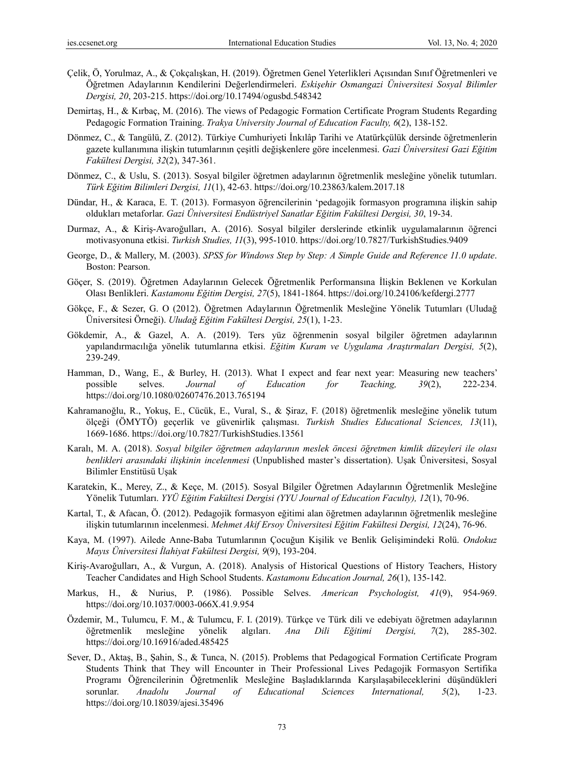- Çelik, Ö, Yorulmaz, A., & Çokçalışkan, H. (2019). Öğretmen Genel Yeterlikleri Açısından Sınıf Öğretmenleri ve Öğretmen Adaylarının Kendilerini Değerlendirmeleri. *Eskişehir Osmangazi Üniversitesi Sosyal Bilimler Dergisi, 20*, 203-215. https://doi.org/10.17494/ogusbd.548342
- Demirtaş, H., & Kırbaç, M. (2016). The views of Pedagogic Formation Certificate Program Students Regarding Pedagogic Formation Training. *Trakya University Journal of Education Faculty, 6*(2), 138-152.
- Dönmez, C., & Tangülü, Z. (2012). Türkiye Cumhuriyeti İnkılâp Tarihi ve Atatürkçülük dersinde öğretmenlerin gazete kullanımına ilişkin tutumlarının çeşitli değişkenlere göre incelenmesi. *Gazi Üniversitesi Gazi Eğitim Fakültesi Dergisi, 32*(2), 347-361.
- Dönmez, C., & Uslu, S. (2013). Sosyal bilgiler öğretmen adaylarının öğretmenlik mesleğine yönelik tutumları. *Türk Eğitim Bilimleri Dergisi, 11*(1), 42-63. https://doi.org/10.23863/kalem.2017.18
- Dündar, H., & Karaca, E. T. (2013). Formasyon öğrencilerinin 'pedagojik formasyon programına ilişkin sahip oldukları metaforlar. *Gazi Üniversitesi Endüstriyel Sanatlar Eğitim Fakültesi Dergisi, 30*, 19-34.
- Durmaz, A., & Kiriş-Avaroğulları, A. (2016). Sosyal bilgiler derslerinde etkinlik uygulamalarının öğrenci motivasyonuna etkisi. *Turkish Studies, 11*(3), 995-1010. https://doi.org/10.7827/TurkishStudies.9409
- George, D., & Mallery, M. (2003). *SPSS for Windows Step by Step: A Simple Guide and Reference 11.0 update*. Boston: Pearson.
- Göçer, S. (2019). Öğretmen Adaylarının Gelecek Öğretmenlik Performansına İlişkin Beklenen ve Korkulan Olası Benlikleri. *Kastamonu Eğitim Dergisi, 27*(5), 1841-1864. https://doi.org/10.24106/kefdergi.2777
- Gökçe, F., & Sezer, G. O (2012). Öğretmen Adaylarının Öğretmenlik Mesleğine Yönelik Tutumları (Uludağ Üniversitesi Örneği). *Uludağ Eğitim Fakültesi Dergisi, 25*(1), 1-23.
- Gökdemir, A., & Gazel, A. A. (2019). Ters yüz öğrenmenin sosyal bilgiler öğretmen adaylarının yapılandırmacılığa yönelik tutumlarına etkisi. *Eğitim Kuram ve Uygulama Araştırmaları Dergisi, 5*(2), 239-249.
- Hamman, D., Wang, E., & Burley, H. (2013). What I expect and fear next year: Measuring new teachers' possible selves. *Journal of Education for Teaching, 39*(2), 222-234. https://doi.org/10.1080/02607476.2013.765194
- Kahramanoğlu, R., Yokuş, E., Cücük, E., Vural, S., & Şiraz, F. (2018) öğretmenlik mesleğine yönelik tutum ölçeği (ÖMYTÖ) geçerlik ve güvenirlik çalışması. *Turkish Studies Educational Sciences, 13*(11), 1669-1686. https://doi.org/10.7827/TurkishStudies.13561
- Karalı, M. A. (2018). *Sosyal bilgiler öğretmen adaylarının meslek öncesi öğretmen kimlik düzeyleri ile olası benlikleri arasındaki ilişkinin incelenmesi* (Unpublished master's dissertation). Uşak Üniversitesi, Sosyal Bilimler Enstitüsü Uşak
- Karatekin, K., Merey, Z., & Keçe, M. (2015). Sosyal Bilgiler Öğretmen Adaylarının Öğretmenlik Mesleğine Yönelik Tutumları. *YYÜ Eğitim Fakültesi Dergisi (YYU Journal of Education Faculty), 12*(1), 70-96.
- Kartal, T., & Afacan, Ö. (2012). Pedagojik formasyon eğitimi alan öğretmen adaylarının öğretmenlik mesleğine ilişkin tutumlarının incelenmesi. *Mehmet Akif Ersoy Üniversitesi Eğitim Fakültesi Dergisi, 12*(24), 76-96.
- Kaya, M. (1997). Ailede Anne-Baba Tutumlarının Çocuğun Kişilik ve Benlik Gelişimindeki Rolü. *Ondokuz Mayıs Üniversitesi İlahiyat Fakültesi Dergisi, 9*(9), 193-204.
- Kiriş-Avaroğulları, A., & Vurgun, A. (2018). Analysis of Historical Questions of History Teachers, History Teacher Candidates and High School Students. *Kastamonu Education Journal, 26*(1), 135-142.
- Markus, H., & Nurius, P. (1986). Possible Selves. *American Psychologist, 41*(9), 954-969. https://doi.org/10.1037/0003-066X.41.9.954
- Özdemir, M., Tulumcu, F. M., & Tulumcu, F. I. (2019). Türkçe ve Türk dili ve edebiyatı öğretmen adaylarının öğretmenlik mesleğine yönelik algıları. *Ana Dili Eğitimi Dergisi, 7*(2), 285-302. https://doi.org/10.16916/aded.485425
- Sever, D., Aktaş, B., Şahin, S., & Tunca, N. (2015). Problems that Pedagogical Formation Certificate Program Students Think that They will Encounter in Their Professional Lives Pedagojik Formasyon Sertifika Programı Öğrencilerinin Öğretmenlik Mesleğine Başladıklarında Karşılaşabileceklerini düşündükleri sorunlar. *Anadolu Journal of Educational Sciences International, 5*(2), 1-23. https://doi.org/10.18039/ajesi.35496